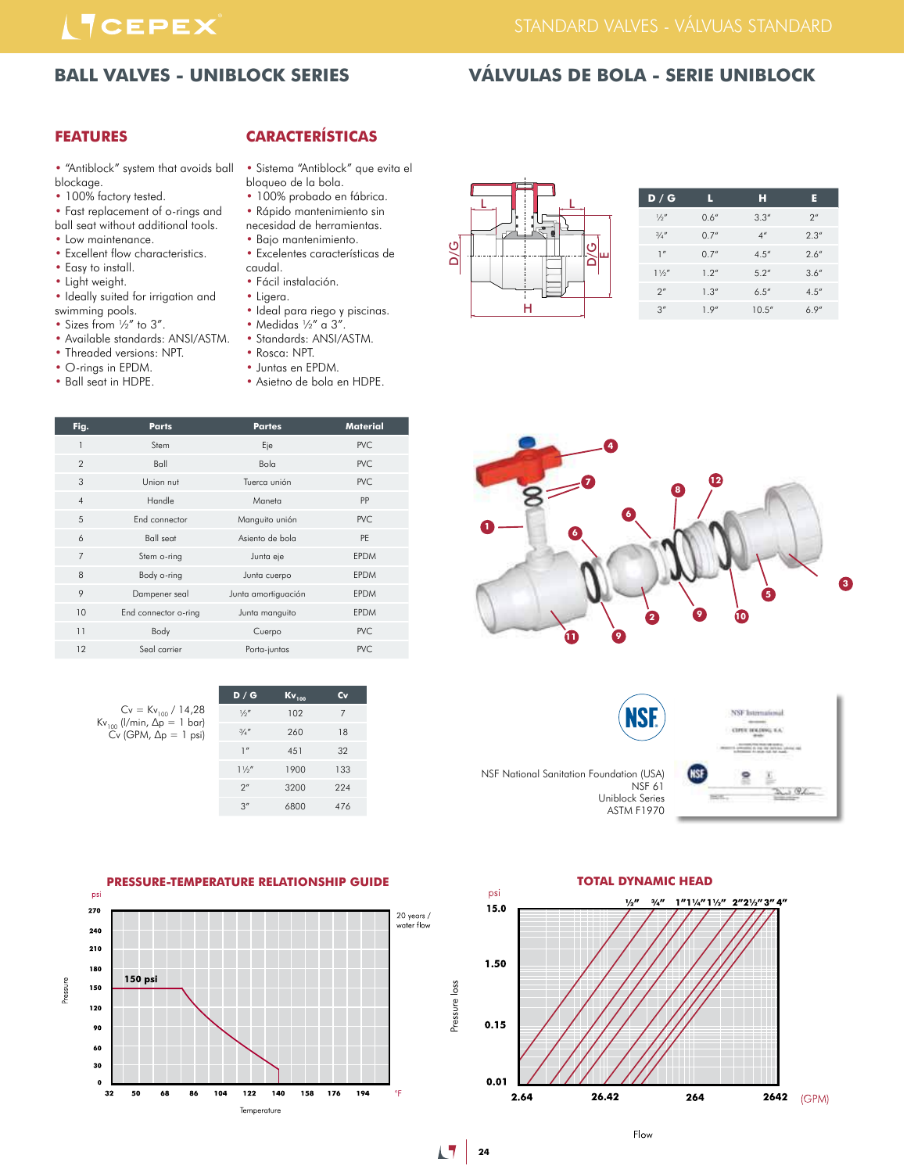# **ITCEPEX**

### STANDARD VALVES - VÁLVUAS STANDARD

## **BALL VALVES - UNIBLOCK SERIES VÁLVULAS DE BOLA - SERIE UNIBLOCK**

# **FEATURES**

- "Antiblock" system that avoids ball blockage.
- 100% factory tested.
- Fast replacement of o-rings and ball seat without additional tools.
- Low maintenance.
- Excellent flow characteristics.
- Easy to install.
- Light weight.
- Ideally suited for irrigation and
- swimming pools.
- Sizes from 1/2" to 3".
- Available standards: ANSI/ASTM. • Threaded versions: NPT.
- O-rings in EPDM.
- Ball seat in HDPE.
- **CARACTERÍSTICAS**
- Sistema "Antiblock" que evita el bloqueo de la bola.
- 100% probado en fábrica.
- Rápido mantenimiento sin necesidad de herramientas.
- Bajo mantenimiento.
- Excelentes características de
- Ligera.
- Ideal para riego y piscinas.
- Medidas  $\frac{1}{2}$ " a 3".
- Standards: ANSI/ASTM.
- 
- 
- 



| $Cv = Kv_{100} / 14,28$        |  |
|--------------------------------|--|
| $Kv_{100}$ (l/min, Δp = 1 bar) |  |
| $Cv$ (GPM, $\Delta p = 1$ psi) |  |
|                                |  |

| D/G            | $Kv_{100}$ | Cv             |
|----------------|------------|----------------|
| 1/2''          | 102        | $\overline{7}$ |
| 3/4''          | 260        | 18             |
| $\mathbb{I}''$ | 451        | 32             |
| $1\frac{1}{2}$ | 1900       | 133            |
| 2 <sup>n</sup> | 3200       | 224            |
| 3''            | 6800       | 476            |





| L  | D/G            | L     | н                  | E                  |
|----|----------------|-------|--------------------|--------------------|
|    | $\frac{1}{2}$  | 0.6'' | 3.3''              | $2^{\prime\prime}$ |
|    | 3/4''          | 0.7'' | $4^{\prime\prime}$ | 2.3''              |
| п. | 1''            | 0.7'' | 4.5''              | 2.6''              |
|    | $1\frac{1}{2}$ | 1.2'' | 5.2''              | 3.6''              |
|    | 2 <sup>n</sup> | 1.3'' | 6.5''              | 4.5''              |
|    | 3''            | 1.9'' | 10.5''             | 6.9''              |
|    |                |       |                    |                    |



**NSF** NSF National Sanitation Foundation (USA) NSF 61 Uniblock Series





Flow

**17** 24

- caudal. • Fácil instalación.
- 
- 
- 
- 
- Rosca: NPT.
- Juntas en EPDM.
- Asietno de bola en HDPE.
-